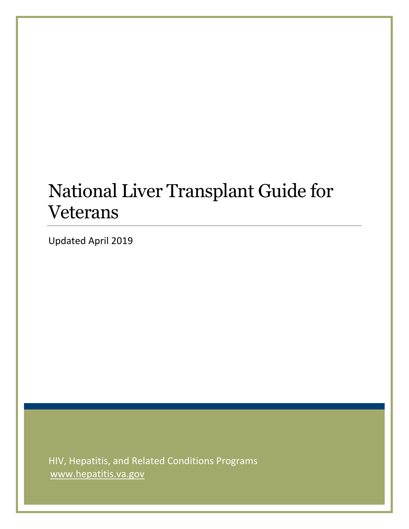# National Liver Transplant Guide for Veterans

Updated April 2019

HIV, Hepatitis, and Related Conditions Programs www.hepatitis.va.gov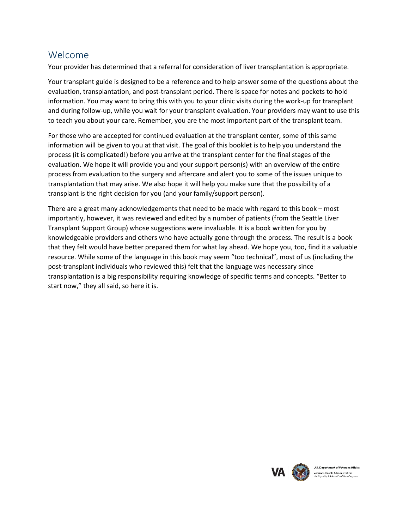## Welcome

Your provider has determined that a referral for consideration of liver transplantation is appropriate.

Your transplant guide is designed to be a reference and to help answer some of the questions about the evaluation, transplantation, and post-transplant period. There is space for notes and pockets to hold information. You may want to bring this with you to your clinic visits during the work-up for transplant and during follow-up, while you wait for your transplant evaluation. Your providers may want to use this to teach you about your care. Remember, you are the most important part of the transplant team.

For those who are accepted for continued evaluation at the transplant center, some of this same information will be given to you at that visit. The goal of this booklet is to help you understand the process (it is complicated!) before you arrive at the transplant center for the final stages of the evaluation. We hope it will provide you and your support person(s) with an overview of the entire process from evaluation to the surgery and aftercare and alert you to some of the issues unique to transplantation that may arise. We also hope it will help you make sure that the possibility of a transplant is the right decision for you (and your family/support person).

There are a great many acknowledgements that need to be made with regard to this book – most importantly, however, it was reviewed and edited by a number of patients (from the Seattle Liver Transplant Support Group) whose suggestions were invaluable. It is a book written for you by knowledgeable providers and others who have actually gone through the process. The result is a book that they felt would have better prepared them for what lay ahead. We hope you, too, find it a valuable resource. While some of the language in this book may seem "too technical", most of us (including the post-transplant individuals who reviewed this) felt that the language was necessary since transplantation is a big responsibility requiring knowledge of specific terms and concepts. "Better to start now," they all said, so here it is.

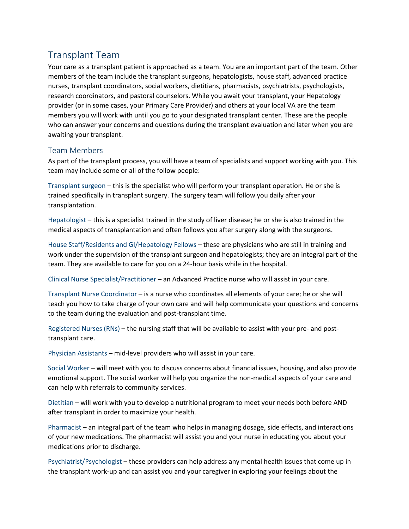# Transplant Team

Your care as a transplant patient is approached as a team. You are an important part of the team. Other members of the team include the transplant surgeons, hepatologists, house staff, advanced practice nurses, transplant coordinators, social workers, dietitians, pharmacists, psychiatrists, psychologists, research coordinators, and pastoral counselors. While you await your transplant, your Hepatology provider (or in some cases, your Primary Care Provider) and others at your local VA are the team members you will work with until you go to your designated transplant center. These are the people who can answer your concerns and questions during the transplant evaluation and later when you are awaiting your transplant.

#### Team Members

As part of the transplant process, you will have a team of specialists and support working with you. This team may include some or all of the follow people:

Transplant surgeon – this is the specialist who will perform your transplant operation. He or she is trained specifically in transplant surgery. The surgery team will follow you daily after your transplantation.

Hepatologist – this is a specialist trained in the study of liver disease; he or she is also trained in the medical aspects of transplantation and often follows you after surgery along with the surgeons.

House Staff/Residents and GI/Hepatology Fellows – these are physicians who are still in training and work under the supervision of the transplant surgeon and hepatologists; they are an integral part of the team. They are available to care for you on a 24-hour basis while in the hospital.

Clinical Nurse Specialist/Practitioner – an Advanced Practice nurse who will assist in your care.

Transplant Nurse Coordinator – is a nurse who coordinates all elements of your care; he or she will teach you how to take charge of your own care and will help communicate your questions and concerns to the team during the evaluation and post-transplant time.

Registered Nurses (RNs) – the nursing staff that will be available to assist with your pre- and posttransplant care.

Physician Assistants – mid-level providers who will assist in your care.

Social Worker – will meet with you to discuss concerns about financial issues, housing, and also provide emotional support. The social worker will help you organize the non-medical aspects of your care and can help with referrals to community services.

Dietitian – will work with you to develop a nutritional program to meet your needs both before AND after transplant in order to maximize your health.

Pharmacist – an integral part of the team who helps in managing dosage, side effects, and interactions of your new medications. The pharmacist will assist you and your nurse in educating you about your medications prior to discharge.

Psychiatrist/Psychologist – these providers can help address any mental health issues that come up in the transplant work-up and can assist you and your caregiver in exploring your feelings about the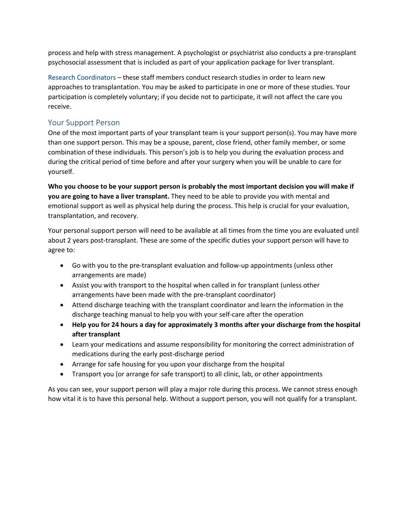process and help with stress management. A psychologist or psychiatrist also conducts a pre-transplant psychosocial assessment that is included as part of your application package for liver transplant.

Research Coordinators – these staff members conduct research studies in order to learn new approaches to transplantation. You may be asked to participate in one or more of these studies. Your participation is completely voluntary; if you decide not to participate, it will not affect the care you receive.

#### Your Support Person

One of the most important parts of your transplant team is your support person(s). You may have more than one support person. This may be a spouse, parent, close friend, other family member, or some combination of these individuals. This person's job is to help you during the evaluation process and during the critical period of time before and after your surgery when you will be unable to care for yourself.

**Who you choose to be your support person is probably the most important decision you will make if you are going to have a liver transplant.** They need to be able to provide you with mental and emotional support as well as physical help during the process. This help is crucial for your evaluation, transplantation, and recovery.

Your personal support person will need to be available at all times from the time you are evaluated until about 2 years post-transplant. These are some of the specific duties your support person will have to agree to:

- Go with you to the pre-transplant evaluation and follow-up appointments (unless other arrangements are made)
- Assist you with transport to the hospital when called in for transplant (unless other arrangements have been made with the pre-transplant coordinator)
- Attend discharge teaching with the transplant coordinator and learn the information in the discharge teaching manual to help you with your self-care after the operation
- **Help you for 24 hours a day for approximately 3 months after your discharge from the hospital after transplant**
- Learn your medications and assume responsibility for monitoring the correct administration of medications during the early post-discharge period
- Arrange for safe housing for you upon your discharge from the hospital
- Transport you (or arrange for safe transport) to all clinic, lab, or other appointments

As you can see, your support person will play a major role during this process. We cannot stress enough how vital it is to have this personal help. Without a support person, you will not qualify for a transplant.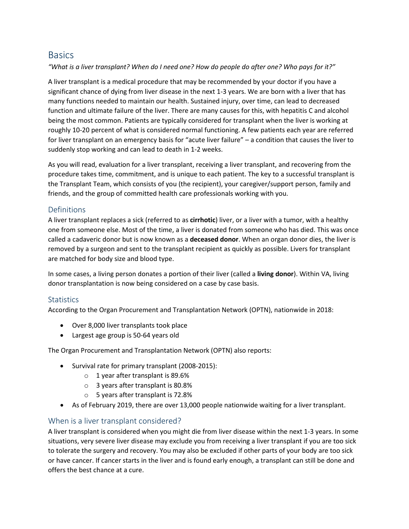## **Basics**

*"What is a liver transplant? When do I need one? How do people do after one? Who pays for it?"*

A liver transplant is a medical procedure that may be recommended by your doctor if you have a significant chance of dying from liver disease in the next 1-3 years. We are born with a liver that has many functions needed to maintain our health. Sustained injury, over time, can lead to decreased function and ultimate failure of the liver. There are many causes for this, with hepatitis C and alcohol being the most common. Patients are typically considered for transplant when the liver is working at roughly 10-20 percent of what is considered normal functioning. A few patients each year are referred for liver transplant on an emergency basis for "acute liver failure" – a condition that causes the liver to suddenly stop working and can lead to death in 1-2 weeks.

As you will read, evaluation for a liver transplant, receiving a liver transplant, and recovering from the procedure takes time, commitment, and is unique to each patient. The key to a successful transplant is the Transplant Team, which consists of you (the recipient), your caregiver/support person, family and friends, and the group of committed health care professionals working with you.

#### Definitions

A liver transplant replaces a sick (referred to as **cirrhotic**) liver, or a liver with a tumor, with a healthy one from someone else. Most of the time, a liver is donated from someone who has died. This was once called a cadaveric donor but is now known as a **deceased donor**. When an organ donor dies, the liver is removed by a surgeon and sent to the transplant recipient as quickly as possible. Livers for transplant are matched for body size and blood type.

In some cases, a living person donates a portion of their liver (called a **living donor**). Within VA, living donor transplantation is now being considered on a case by case basis.

#### **Statistics**

According to the Organ Procurement and Transplantation Network (OPTN), nationwide in 2018:

- Over 8,000 liver transplants took place
- Largest age group is 50-64 years old

The Organ Procurement and Transplantation Network (OPTN) also reports:

- Survival rate for primary transplant (2008-2015):
	- o 1 year after transplant is 89.6%
	- o 3 years after transplant is 80.8%
	- o 5 years after transplant is 72.8%
- As of February 2019, there are over 13,000 people nationwide waiting for a liver transplant.

#### When is a liver transplant considered?

A liver transplant is considered when you might die from liver disease within the next 1-3 years. In some situations, very severe liver disease may exclude you from receiving a liver transplant if you are too sick to tolerate the surgery and recovery. You may also be excluded if other parts of your body are too sick or have cancer. If cancer starts in the liver and is found early enough, a transplant can still be done and offers the best chance at a cure.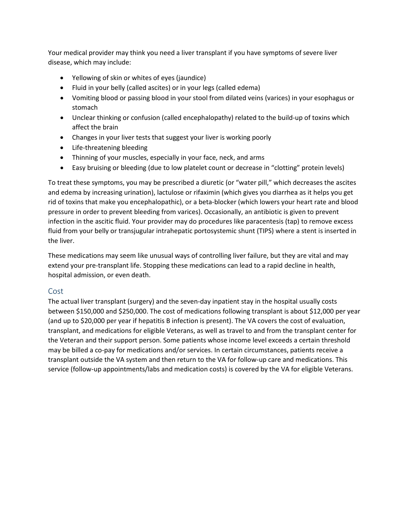Your medical provider may think you need a liver transplant if you have symptoms of severe liver disease, which may include:

- Yellowing of skin or whites of eyes (jaundice)
- Fluid in your belly (called ascites) or in your legs (called edema)
- Vomiting blood or passing blood in your stool from dilated veins (varices) in your esophagus or stomach
- Unclear thinking or confusion (called encephalopathy) related to the build-up of toxins which affect the brain
- Changes in your liver tests that suggest your liver is working poorly
- Life-threatening bleeding
- Thinning of your muscles, especially in your face, neck, and arms
- Easy bruising or bleeding (due to low platelet count or decrease in "clotting" protein levels)

To treat these symptoms, you may be prescribed a diuretic (or "water pill," which decreases the ascites and edema by increasing urination), lactulose or rifaximin (which gives you diarrhea as it helps you get rid of toxins that make you encephalopathic), or a beta-blocker (which lowers your heart rate and blood pressure in order to prevent bleeding from varices). Occasionally, an antibiotic is given to prevent infection in the ascitic fluid. Your provider may do procedures like paracentesis (tap) to remove excess fluid from your belly or transjugular intrahepatic portosystemic shunt (TIPS) where a stent is inserted in the liver.

These medications may seem like unusual ways of controlling liver failure, but they are vital and may extend your pre-transplant life. Stopping these medications can lead to a rapid decline in health, hospital admission, or even death.

#### Cost

The actual liver transplant (surgery) and the seven-day inpatient stay in the hospital usually costs between \$150,000 and \$250,000. The cost of medications following transplant is about \$12,000 per year (and up to \$20,000 per year if hepatitis B infection is present). The VA covers the cost of evaluation, transplant, and medications for eligible Veterans, as well as travel to and from the transplant center for the Veteran and their support person. Some patients whose income level exceeds a certain threshold may be billed a co-pay for medications and/or services. In certain circumstances, patients receive a transplant outside the VA system and then return to the VA for follow-up care and medications. This service (follow-up appointments/labs and medication costs) is covered by the VA for eligible Veterans.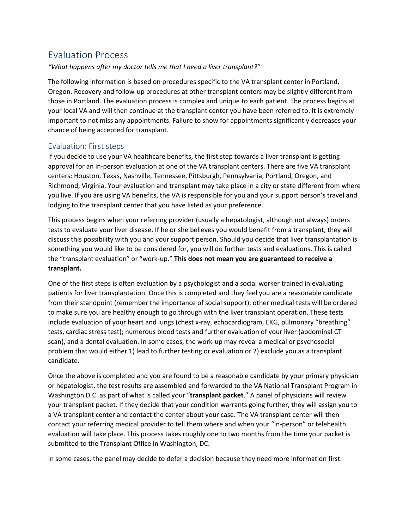## Evaluation Process

#### *"What happens after my doctor tells me that I need a liver transplant?"*

The following information is based on procedures specific to the VA transplant center in Portland, Oregon. Recovery and follow-up procedures at other transplant centers may be slightly different from those in Portland. The evaluation process is complex and unique to each patient. The process begins at your local VA and will then continue at the transplant center you have been referred to. It is extremely important to not miss any appointments. Failure to show for appointments significantly decreases your chance of being accepted for transplant.

#### Evaluation: First steps

If you decide to use your VA healthcare benefits, the first step towards a liver transplant is getting approval for an in-person evaluation at one of the VA transplant centers. There are five VA transplant centers: Houston, Texas, Nashville, Tennessee, Pittsburgh, Pennsylvania, Portland, Oregon, and Richmond, Virginia. Your evaluation and transplant may take place in a city or state different from where you live. If you are using VA benefits, the VA is responsible for you and your support person's travel and lodging to the transplant center that you have listed as your preference.

This process begins when your referring provider (usually a hepatologist, although not always) orders tests to evaluate your liver disease. If he or she believes you would benefit from a transplant, they will discuss this possibility with you and your support person. Should you decide that liver transplantation is something you would like to be considered for, you will do further tests and evaluations. This is called the "transplant evaluation" or "work-up." **This does not mean you are guaranteed to receive a transplant.**

One of the first steps is often evaluation by a psychologist and a social worker trained in evaluating patients for liver transplantation. Once this is completed and they feel you are a reasonable candidate from their standpoint (remember the importance of social support), other medical tests will be ordered to make sure you are healthy enough to go through with the liver transplant operation. These tests include evaluation of your heart and lungs (chest x-ray, echocardiogram, EKG, pulmonary "breathing" tests, cardiac stress test); numerous blood tests and further evaluation of your liver (abdominal CT scan), and a dental evaluation. In some cases, the work-up may reveal a medical or psychosocial problem that would either 1) lead to further testing or evaluation or 2) exclude you as a transplant candidate.

Once the above is completed and you are found to be a reasonable candidate by your primary physician or hepatologist, the test results are assembled and forwarded to the VA National Transplant Program in Washington D.C. as part of what is called your "**transplant packet**." A panel of physicians will review your transplant packet. If they decide that your condition warrants going further, they will assign you to a VA transplant center and contact the center about your case. The VA transplant center will then contact your referring medical provider to tell them where and when your "in-person" or telehealth evaluation will take place. This process takes roughly one to two months from the time your packet is submitted to the Transplant Office in Washington, DC.

In some cases, the panel may decide to defer a decision because they need more information first.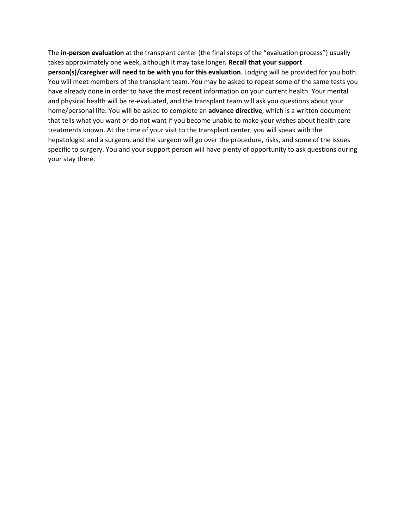The **in-person evaluation** at the transplant center (the final steps of the "evaluation process") usually takes approximately one week, although it may take longer**. Recall that your support person(s)/caregiver will need to be with you for this evaluation**. Lodging will be provided for you both. You will meet members of the transplant team. You may be asked to repeat some of the same tests you have already done in order to have the most recent information on your current health. Your mental and physical health will be re-evaluated, and the transplant team will ask you questions about your home/personal life. You will be asked to complete an **advance directive**, which is a written document that tells what you want or do not want if you become unable to make your wishes about health care treatments known. At the time of your visit to the transplant center, you will speak with the hepatologist and a surgeon, and the surgeon will go over the procedure, risks, and some of the issues specific to surgery. You and your support person will have plenty of opportunity to ask questions during your stay there.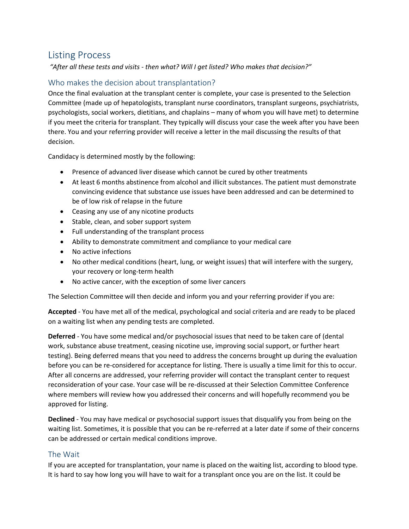## Listing Process

*"After all these tests and visits - then what? Will I get listed? Who makes that decision?"*

#### Who makes the decision about transplantation?

Once the final evaluation at the transplant center is complete, your case is presented to the Selection Committee (made up of hepatologists, transplant nurse coordinators, transplant surgeons, psychiatrists, psychologists, social workers, dietitians, and chaplains – many of whom you will have met) to determine if you meet the criteria for transplant. They typically will discuss your case the week after you have been there. You and your referring provider will receive a letter in the mail discussing the results of that decision.

Candidacy is determined mostly by the following:

- Presence of advanced liver disease which cannot be cured by other treatments
- At least 6 months abstinence from alcohol and illicit substances. The patient must demonstrate convincing evidence that substance use issues have been addressed and can be determined to be of low risk of relapse in the future
- Ceasing any use of any nicotine products
- Stable, clean, and sober support system
- Full understanding of the transplant process
- Ability to demonstrate commitment and compliance to your medical care
- No active infections
- No other medical conditions (heart, lung, or weight issues) that will interfere with the surgery, your recovery or long-term health
- No active cancer, with the exception of some liver cancers

The Selection Committee will then decide and inform you and your referring provider if you are:

**Accepted** - You have met all of the medical, psychological and social criteria and are ready to be placed on a waiting list when any pending tests are completed.

**Deferred** - You have some medical and/or psychosocial issues that need to be taken care of (dental work, substance abuse treatment, ceasing nicotine use, improving social support, or further heart testing). Being deferred means that you need to address the concerns brought up during the evaluation before you can be re-considered for acceptance for listing. There is usually a time limit for this to occur. After all concerns are addressed, your referring provider will contact the transplant center to request reconsideration of your case. Your case will be re-discussed at their Selection Committee Conference where members will review how you addressed their concerns and will hopefully recommend you be approved for listing.

**Declined** - You may have medical or psychosocial support issues that disqualify you from being on the waiting list. Sometimes, it is possible that you can be re-referred at a later date if some of their concerns can be addressed or certain medical conditions improve.

#### The Wait

If you are accepted for transplantation, your name is placed on the waiting list, according to blood type. It is hard to say how long you will have to wait for a transplant once you are on the list. It could be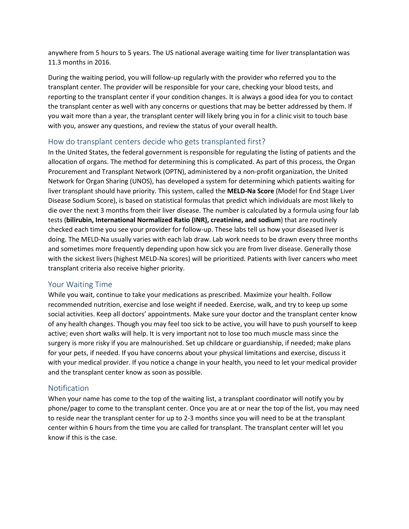anywhere from 5 hours to 5 years. The US national average waiting time for liver transplantation was 11.3 months in 2016.

During the waiting period, you will follow-up regularly with the provider who referred you to the transplant center. The provider will be responsible for your care, checking your blood tests, and reporting to the transplant center if your condition changes. It is always a good idea for you to contact the transplant center as well with any concerns or questions that may be better addressed by them. If you wait more than a year, the transplant center will likely bring you in for a clinic visit to touch base with you, answer any questions, and review the status of your overall health.

#### How do transplant centers decide who gets transplanted first?

In the United States, the federal government is responsible for regulating the listing of patients and the allocation of organs. The method for determining this is complicated. As part of this process, the Organ Procurement and Transplant Network (OPTN), administered by a non-profit organization, the United Network for Organ Sharing (UNOS), has developed a system for determining which patients waiting for liver transplant should have priority. This system, called the **MELD-Na Score** (Model for End Stage Liver Disease Sodium Score), is based on statistical formulas that predict which individuals are most likely to die over the next 3 months from their liver disease. The number is calculated by a formula using four lab tests (**bilirubin, International Normalized Ratio (INR), creatinine, and sodium**) that are routinely checked each time you see your provider for follow-up. These labs tell us how your diseased liver is doing. The MELD-Na usually varies with each lab draw. Lab work needs to be drawn every three months and sometimes more frequently depending upon how sick you are from liver disease. Generally those with the sickest livers (highest MELD-Na scores) will be prioritized. Patients with liver cancers who meet transplant criteria also receive higher priority.

#### Your Waiting Time

While you wait, continue to take your medications as prescribed. Maximize your health. Follow recommended nutrition, exercise and lose weight if needed. Exercise, walk, and try to keep up some social activities. Keep all doctors' appointments. Make sure your doctor and the transplant center know of any health changes. Though you may feel too sick to be active, you will have to push yourself to keep active; even short walks will help. It is very important not to lose too much muscle mass since the surgery is more risky if you are malnourished. Set up childcare or guardianship, if needed; make plans for your pets, if needed. If you have concerns about your physical limitations and exercise, discuss it with your medical provider. If you notice a change in your health, you need to let your medical provider and the transplant center know as soon as possible.

#### **Notification**

When your name has come to the top of the waiting list, a transplant coordinator will notify you by phone/pager to come to the transplant center. Once you are at or near the top of the list, you may need to reside near the transplant center for up to 2-3 months since you will need to be at the transplant center within 6 hours from the time you are called for transplant. The transplant center will let you know if this is the case.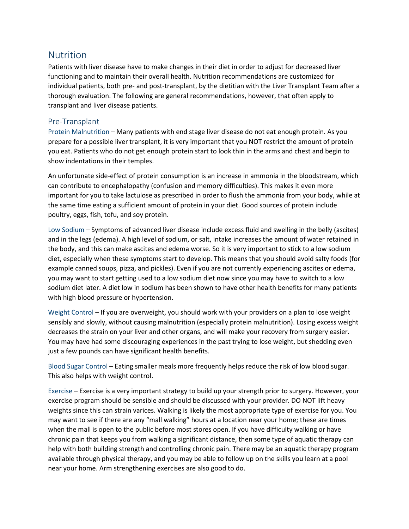## Nutrition

Patients with liver disease have to make changes in their diet in order to adjust for decreased liver functioning and to maintain their overall health. Nutrition recommendations are customized for individual patients, both pre- and post-transplant, by the dietitian with the Liver Transplant Team after a thorough evaluation. The following are general recommendations, however, that often apply to transplant and liver disease patients.

#### Pre-Transplant

Protein Malnutrition – Many patients with end stage liver disease do not eat enough protein. As you prepare for a possible liver transplant, it is very important that you NOT restrict the amount of protein you eat. Patients who do not get enough protein start to look thin in the arms and chest and begin to show indentations in their temples.

An unfortunate side-effect of protein consumption is an increase in ammonia in the bloodstream, which can contribute to encephalopathy (confusion and memory difficulties). This makes it even more important for you to take lactulose as prescribed in order to flush the ammonia from your body, while at the same time eating a sufficient amount of protein in your diet. Good sources of protein include poultry, eggs, fish, tofu, and soy protein.

Low Sodium – Symptoms of advanced liver disease include excess fluid and swelling in the belly (ascites) and in the legs (edema). A high level of sodium, or salt, intake increases the amount of water retained in the body, and this can make ascites and edema worse. So it is very important to stick to a low sodium diet, especially when these symptoms start to develop. This means that you should avoid salty foods (for example canned soups, pizza, and pickles). Even if you are not currently experiencing ascites or edema, you may want to start getting used to a low sodium diet now since you may have to switch to a low sodium diet later. A diet low in sodium has been shown to have other health benefits for many patients with high blood pressure or hypertension.

Weight Control – If you are overweight, you should work with your providers on a plan to lose weight sensibly and slowly, without causing malnutrition (especially protein malnutrition). Losing excess weight decreases the strain on your liver and other organs, and will make your recovery from surgery easier. You may have had some discouraging experiences in the past trying to lose weight, but shedding even just a few pounds can have significant health benefits.

Blood Sugar Control – Eating smaller meals more frequently helps reduce the risk of low blood sugar. This also helps with weight control.

Exercise – Exercise is a very important strategy to build up your strength prior to surgery. However, your exercise program should be sensible and should be discussed with your provider. DO NOT lift heavy weights since this can strain varices. Walking is likely the most appropriate type of exercise for you. You may want to see if there are any "mall walking" hours at a location near your home; these are times when the mall is open to the public before most stores open. If you have difficulty walking or have chronic pain that keeps you from walking a significant distance, then some type of aquatic therapy can help with both building strength and controlling chronic pain. There may be an aquatic therapy program available through physical therapy, and you may be able to follow up on the skills you learn at a pool near your home. Arm strengthening exercises are also good to do.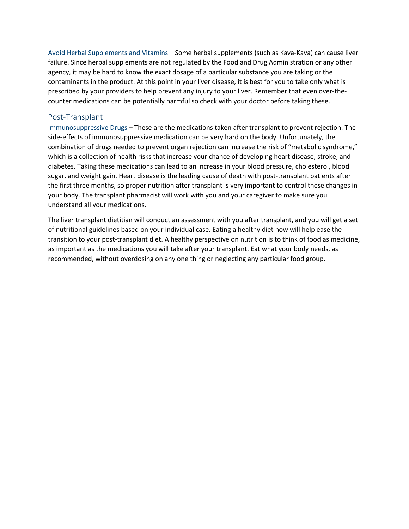Avoid Herbal Supplements and Vitamins – Some herbal supplements (such as Kava-Kava) can cause liver failure. Since herbal supplements are not regulated by the Food and Drug Administration or any other agency, it may be hard to know the exact dosage of a particular substance you are taking or the contaminants in the product. At this point in your liver disease, it is best for you to take only what is prescribed by your providers to help prevent any injury to your liver. Remember that even over-thecounter medications can be potentially harmful so check with your doctor before taking these.

#### Post-Transplant

Immunosuppressive Drugs – These are the medications taken after transplant to prevent rejection. The side-effects of immunosuppressive medication can be very hard on the body. Unfortunately, the combination of drugs needed to prevent organ rejection can increase the risk of "metabolic syndrome," which is a collection of health risks that increase your chance of developing heart disease, stroke, and diabetes. Taking these medications can lead to an increase in your blood pressure, cholesterol, blood sugar, and weight gain. Heart disease is the leading cause of death with post-transplant patients after the first three months, so proper nutrition after transplant is very important to control these changes in your body. The transplant pharmacist will work with you and your caregiver to make sure you understand all your medications.

The liver transplant dietitian will conduct an assessment with you after transplant, and you will get a set of nutritional guidelines based on your individual case. Eating a healthy diet now will help ease the transition to your post-transplant diet. A healthy perspective on nutrition is to think of food as medicine, as important as the medications you will take after your transplant. Eat what your body needs, as recommended, without overdosing on any one thing or neglecting any particular food group.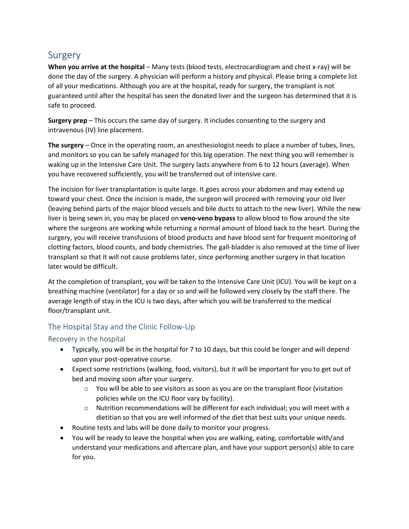## Surgery

**When you arrive at the hospital** – Many tests (blood tests, electrocardiogram and chest x-ray) will be done the day of the surgery. A physician will perform a history and physical. Please bring a complete list of all your medications. Although you are at the hospital, ready for surgery, the transplant is not guaranteed until after the hospital has seen the donated liver and the surgeon has determined that it is safe to proceed.

**Surgery prep** – This occurs the same day of surgery. It includes consenting to the surgery and intravenous (IV) line placement.

**The surgery** – Once in the operating room, an anesthesiologist needs to place a number of tubes, lines, and monitors so you can be safely managed for this big operation. The next thing you will remember is waking up in the Intensive Care Unit. The surgery lasts anywhere from 6 to 12 hours (average). When you have recovered sufficiently, you will be transferred out of intensive care.

The incision for liver transplantation is quite large. It goes across your abdomen and may extend up toward your chest. Once the incision is made, the surgeon will proceed with removing your old liver (leaving behind parts of the major blood vessels and bile ducts to attach to the new liver). While the new liver is being sewn in, you may be placed on **veno-veno bypass** to allow blood to flow around the site where the surgeons are working while returning a normal amount of blood back to the heart. During the surgery, you will receive transfusions of blood products and have blood sent for frequent monitoring of clotting factors, blood counts, and body chemistries. The gall-bladder is also removed at the time of liver transplant so that it will not cause problems later, since performing another surgery in that location later would be difficult.

At the completion of transplant, you will be taken to the Intensive Care Unit (ICU). You will be kept on a breathing machine (ventilator) for a day or so and will be followed very closely by the staff there. The average length of stay in the ICU is two days, after which you will be transferred to the medical floor/transplant unit.

#### The Hospital Stay and the Clinic Follow-Up

#### Recovery in the hospital

- Typically, you will be in the hospital for 7 to 10 days, but this could be longer and will depend upon your post-operative course.
- Expect some restrictions (walking, food, visitors), but it will be important for you to get out of bed and moving soon after your surgery.
	- $\circ$  You will be able to see visitors as soon as you are on the transplant floor (visitation policies while on the ICU floor vary by facility).
	- $\circ$  Nutrition recommendations will be different for each individual; you will meet with a dietitian so that you are well informed of the diet that best suits your unique needs.
- Routine tests and labs will be done daily to monitor your progress.
- You will be ready to leave the hospital when you are walking, eating, comfortable with/and understand your medications and aftercare plan, and have your support person(s) able to care for you.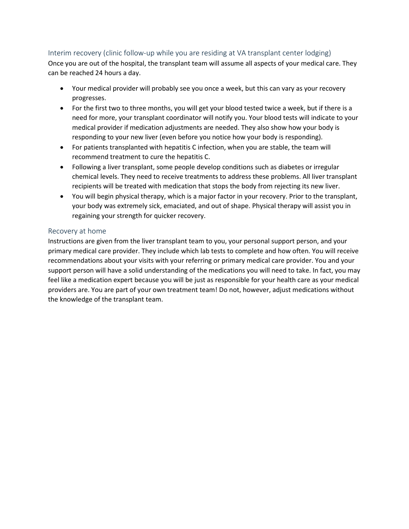#### Interim recovery (clinic follow-up while you are residing at VA transplant center lodging)

Once you are out of the hospital, the transplant team will assume all aspects of your medical care. They can be reached 24 hours a day.

- Your medical provider will probably see you once a week, but this can vary as your recovery progresses.
- For the first two to three months, you will get your blood tested twice a week, but if there is a need for more, your transplant coordinator will notify you. Your blood tests will indicate to your medical provider if medication adjustments are needed. They also show how your body is responding to your new liver (even before you notice how your body is responding).
- For patients transplanted with hepatitis C infection, when you are stable, the team will recommend treatment to cure the hepatitis C.
- Following a liver transplant, some people develop conditions such as diabetes or irregular chemical levels. They need to receive treatments to address these problems. All liver transplant recipients will be treated with medication that stops the body from rejecting its new liver.
- You will begin physical therapy, which is a major factor in your recovery. Prior to the transplant, your body was extremely sick, emaciated, and out of shape. Physical therapy will assist you in regaining your strength for quicker recovery.

#### Recovery at home

Instructions are given from the liver transplant team to you, your personal support person, and your primary medical care provider. They include which lab tests to complete and how often. You will receive recommendations about your visits with your referring or primary medical care provider. You and your support person will have a solid understanding of the medications you will need to take. In fact, you may feel like a medication expert because you will be just as responsible for your health care as your medical providers are. You are part of your own treatment team! Do not, however, adjust medications without the knowledge of the transplant team.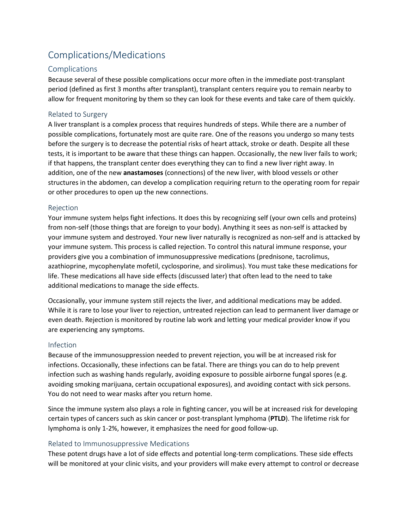# Complications/Medications

#### **Complications**

Because several of these possible complications occur more often in the immediate post-transplant period (defined as first 3 months after transplant), transplant centers require you to remain nearby to allow for frequent monitoring by them so they can look for these events and take care of them quickly.

#### Related to Surgery

A liver transplant is a complex process that requires hundreds of steps. While there are a number of possible complications, fortunately most are quite rare. One of the reasons you undergo so many tests before the surgery is to decrease the potential risks of heart attack, stroke or death. Despite all these tests, it is important to be aware that these things can happen. Occasionally, the new liver fails to work; if that happens, the transplant center does everything they can to find a new liver right away. In addition, one of the new **anastamoses** (connections) of the new liver, with blood vessels or other structures in the abdomen, can develop a complication requiring return to the operating room for repair or other procedures to open up the new connections.

#### Rejection

Your immune system helps fight infections. It does this by recognizing self (your own cells and proteins) from non-self (those things that are foreign to your body). Anything it sees as non-self is attacked by your immune system and destroyed. Your new liver naturally is recognized as non-self and is attacked by your immune system. This process is called rejection. To control this natural immune response, your providers give you a combination of immunosuppressive medications (prednisone, tacrolimus, azathioprine, mycophenylate mofetil, cyclosporine, and sirolimus). You must take these medications for life. These medications all have side effects (discussed later) that often lead to the need to take additional medications to manage the side effects.

Occasionally, your immune system still rejects the liver, and additional medications may be added. While it is rare to lose your liver to rejection, untreated rejection can lead to permanent liver damage or even death. Rejection is monitored by routine lab work and letting your medical provider know if you are experiencing any symptoms.

#### Infection

Because of the immunosuppression needed to prevent rejection, you will be at increased risk for infections. Occasionally, these infections can be fatal. There are things you can do to help prevent infection such as washing hands regularly, avoiding exposure to possible airborne fungal spores (e.g. avoiding smoking marijuana, certain occupational exposures), and avoiding contact with sick persons. You do not need to wear masks after you return home.

Since the immune system also plays a role in fighting cancer, you will be at increased risk for developing certain types of cancers such as skin cancer or post-transplant lymphoma (**PTLD**). The lifetime risk for lymphoma is only 1-2%, however, it emphasizes the need for good follow-up.

#### Related to Immunosuppressive Medications

These potent drugs have a lot of side effects and potential long-term complications. These side effects will be monitored at your clinic visits, and your providers will make every attempt to control or decrease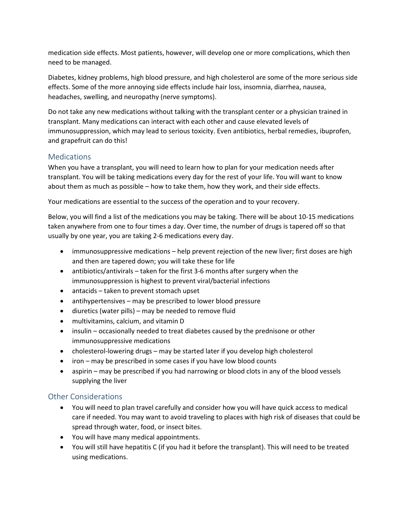medication side effects. Most patients, however, will develop one or more complications, which then need to be managed.

Diabetes, kidney problems, high blood pressure, and high cholesterol are some of the more serious side effects. Some of the more annoying side effects include hair loss, insomnia, diarrhea, nausea, headaches, swelling, and neuropathy (nerve symptoms).

Do not take any new medications without talking with the transplant center or a physician trained in transplant. Many medications can interact with each other and cause elevated levels of immunosuppression, which may lead to serious toxicity. Even antibiotics, herbal remedies, ibuprofen, and grapefruit can do this!

#### **Medications**

When you have a transplant, you will need to learn how to plan for your medication needs after transplant. You will be taking medications every day for the rest of your life. You will want to know about them as much as possible – how to take them, how they work, and their side effects.

Your medications are essential to the success of the operation and to your recovery.

Below, you will find a list of the medications you may be taking. There will be about 10-15 medications taken anywhere from one to four times a day. Over time, the number of drugs is tapered off so that usually by one year, you are taking 2-6 medications every day.

- immunosuppressive medications help prevent rejection of the new liver; first doses are high and then are tapered down; you will take these for life
- antibiotics/antivirals taken for the first 3-6 months after surgery when the immunosuppression is highest to prevent viral/bacterial infections
- antacids taken to prevent stomach upset
- antihypertensives may be prescribed to lower blood pressure
- diuretics (water pills) may be needed to remove fluid
- multivitamins, calcium, and vitamin D
- insulin occasionally needed to treat diabetes caused by the prednisone or other immunosuppressive medications
- cholesterol-lowering drugs may be started later if you develop high cholesterol
- iron may be prescribed in some cases if you have low blood counts
- aspirin may be prescribed if you had narrowing or blood clots in any of the blood vessels supplying the liver

#### Other Considerations

- You will need to plan travel carefully and consider how you will have quick access to medical care if needed. You may want to avoid traveling to places with high risk of diseases that could be spread through water, food, or insect bites.
- You will have many medical appointments.
- You will still have hepatitis C (if you had it before the transplant). This will need to be treated using medications.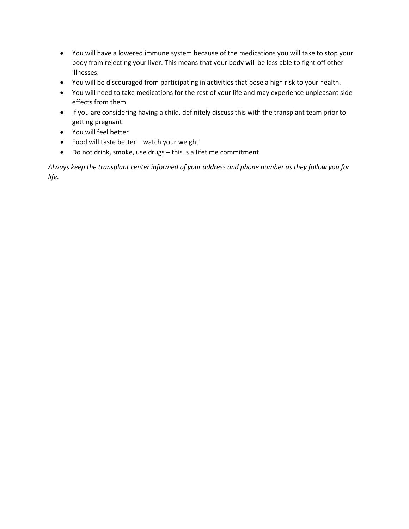- You will have a lowered immune system because of the medications you will take to stop your body from rejecting your liver. This means that your body will be less able to fight off other illnesses.
- You will be discouraged from participating in activities that pose a high risk to your health.
- You will need to take medications for the rest of your life and may experience unpleasant side effects from them.
- If you are considering having a child, definitely discuss this with the transplant team prior to getting pregnant.
- You will feel better
- Food will taste better watch your weight!
- Do not drink, smoke, use drugs this is a lifetime commitment

*Always keep the transplant center informed of your address and phone number as they follow you for life.*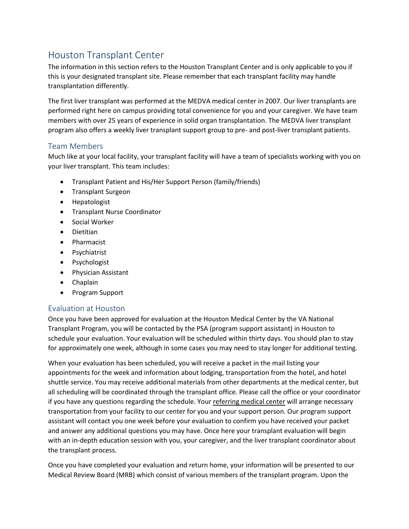# Houston Transplant Center

The information in this section refers to the Houston Transplant Center and is only applicable to you if this is your designated transplant site. Please remember that each transplant facility may handle transplantation differently.

The first liver transplant was performed at the MEDVA medical center in 2007. Our liver transplants are performed right here on campus providing total convenience for you and your caregiver. We have team members with over 25 years of experience in solid organ transplantation. The MEDVA liver transplant program also offers a weekly liver transplant support group to pre- and post-liver transplant patients.

#### Team Members

Much like at your local facility, your transplant facility will have a team of specialists working with you on your liver transplant. This team includes:

- Transplant Patient and His/Her Support Person (family/friends)
- Transplant Surgeon
- Hepatologist
- Transplant Nurse Coordinator
- Social Worker
- Dietitian
- Pharmacist
- Psychiatrist
- Psychologist
- Physician Assistant
- Chaplain
- Program Support

#### Evaluation at Houston

Once you have been approved for evaluation at the Houston Medical Center by the VA National Transplant Program, you will be contacted by the PSA (program support assistant) in Houston to schedule your evaluation. Your evaluation will be scheduled within thirty days. You should plan to stay for approximately one week, although in some cases you may need to stay longer for additional testing.

When your evaluation has been scheduled, you will receive a packet in the mail listing your appointments for the week and information about lodging, transportation from the hotel, and hotel shuttle service. You may receive additional materials from other departments at the medical center, but all scheduling will be coordinated through the transplant office. Please call the office or your coordinator if you have any questions regarding the schedule. Your referring medical center will arrange necessary transportation from your facility to our center for you and your support person. Our program support assistant will contact you one week before your evaluation to confirm you have received your packet and answer any additional questions you may have. Once here your transplant evaluation will begin with an in-depth education session with you, your caregiver, and the liver transplant coordinator about the transplant process.

Once you have completed your evaluation and return home, your information will be presented to our Medical Review Board (MRB) which consist of various members of the transplant program. Upon the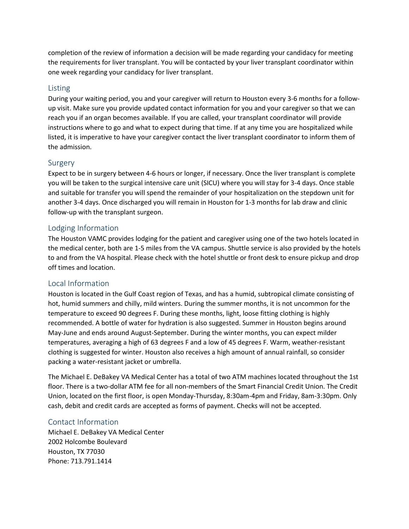completion of the review of information a decision will be made regarding your candidacy for meeting the requirements for liver transplant. You will be contacted by your liver transplant coordinator within one week regarding your candidacy for liver transplant.

#### Listing

During your waiting period, you and your caregiver will return to Houston every 3-6 months for a followup visit. Make sure you provide updated contact information for you and your caregiver so that we can reach you if an organ becomes available. If you are called, your transplant coordinator will provide instructions where to go and what to expect during that time. If at any time you are hospitalized while listed, it is imperative to have your caregiver contact the liver transplant coordinator to inform them of the admission.

#### Surgery

Expect to be in surgery between 4-6 hours or longer, if necessary. Once the liver transplant is complete you will be taken to the surgical intensive care unit (SICU) where you will stay for 3-4 days. Once stable and suitable for transfer you will spend the remainder of your hospitalization on the stepdown unit for another 3-4 days. Once discharged you will remain in Houston for 1-3 months for lab draw and clinic follow-up with the transplant surgeon.

#### Lodging Information

The Houston VAMC provides lodging for the patient and caregiver using one of the two hotels located in the medical center, both are 1-5 miles from the VA campus. Shuttle service is also provided by the hotels to and from the VA hospital. Please check with the hotel shuttle or front desk to ensure pickup and drop off times and location.

#### Local Information

Houston is located in the Gulf Coast region of Texas, and has a humid, subtropical climate consisting of hot, humid summers and chilly, mild winters. During the summer months, it is not uncommon for the temperature to exceed 90 degrees F. During these months, light, loose fitting clothing is highly recommended. A bottle of water for hydration is also suggested. Summer in Houston begins around May-June and ends around August-September. During the winter months, you can expect milder temperatures, averaging a high of 63 degrees F and a low of 45 degrees F. Warm, weather-resistant clothing is suggested for winter. Houston also receives a high amount of annual rainfall, so consider packing a water-resistant jacket or umbrella.

The Michael E. DeBakey VA Medical Center has a total of two ATM machines located throughout the 1st floor. There is a two-dollar ATM fee for all non-members of the Smart Financial Credit Union. The Credit Union, located on the first floor, is open Monday-Thursday, 8:30am-4pm and Friday, 8am-3:30pm. Only cash, debit and credit cards are accepted as forms of payment. Checks will not be accepted.

#### Contact Information

Michael E. DeBakey VA Medical Center 2002 Holcombe Boulevard Houston, TX 77030 Phone: 713.791.1414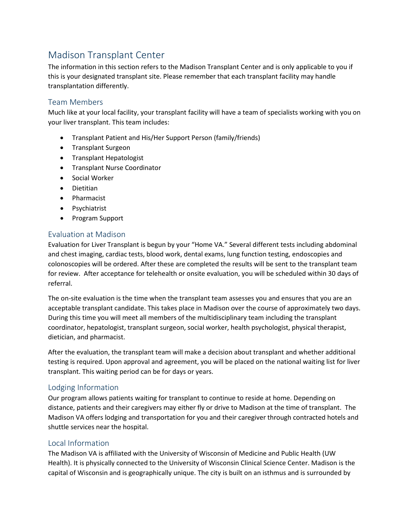# Madison Transplant Center

The information in this section refers to the Madison Transplant Center and is only applicable to you if this is your designated transplant site. Please remember that each transplant facility may handle transplantation differently.

#### Team Members

Much like at your local facility, your transplant facility will have a team of specialists working with you on your liver transplant. This team includes:

- Transplant Patient and His/Her Support Person (family/friends)
- Transplant Surgeon
- Transplant Hepatologist
- Transplant Nurse Coordinator
- Social Worker
- Dietitian
- Pharmacist
- Psychiatrist
- Program Support

#### Evaluation at Madison

Evaluation for Liver Transplant is begun by your "Home VA." Several different tests including abdominal and chest imaging, cardiac tests, blood work, dental exams, lung function testing, endoscopies and colonoscopies will be ordered. After these are completed the results will be sent to the transplant team for review. After acceptance for telehealth or onsite evaluation, you will be scheduled within 30 days of referral.

The on-site evaluation is the time when the transplant team assesses you and ensures that you are an acceptable transplant candidate. This takes place in Madison over the course of approximately two days. During this time you will meet all members of the multidisciplinary team including the transplant coordinator, hepatologist, transplant surgeon, social worker, health psychologist, physical therapist, dietician, and pharmacist.

After the evaluation, the transplant team will make a decision about transplant and whether additional testing is required. Upon approval and agreement, you will be placed on the national waiting list for liver transplant. This waiting period can be for days or years.

#### Lodging Information

Our program allows patients waiting for transplant to continue to reside at home. Depending on distance, patients and their caregivers may either fly or drive to Madison at the time of transplant. The Madison VA offers lodging and transportation for you and their caregiver through contracted hotels and shuttle services near the hospital.

#### Local Information

The Madison VA is affiliated with the University of Wisconsin of Medicine and Public Health (UW Health). It is physically connected to the University of Wisconsin Clinical Science Center. Madison is the capital of Wisconsin and is geographically unique. The city is built on an isthmus and is surrounded by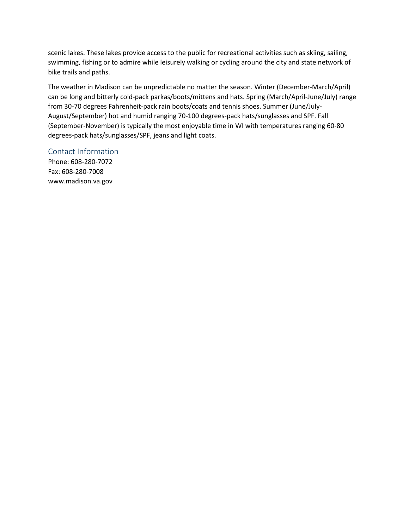scenic lakes. These lakes provide access to the public for recreational activities such as skiing, sailing, swimming, fishing or to admire while leisurely walking or cycling around the city and state network of bike trails and paths.

The weather in Madison can be unpredictable no matter the season. Winter (December-March/April) can be long and bitterly cold-pack parkas/boots/mittens and hats. Spring (March/April-June/July) range from 30-70 degrees Fahrenheit-pack rain boots/coats and tennis shoes. Summer (June/July-August/September) hot and humid ranging 70-100 degrees-pack hats/sunglasses and SPF. Fall (September-November) is typically the most enjoyable time in WI with temperatures ranging 60-80 degrees-pack hats/sunglasses/SPF, jeans and light coats.

#### Contact Information

Phone: 608-280-7072 Fax: 608-280-7008 www.madison.va.gov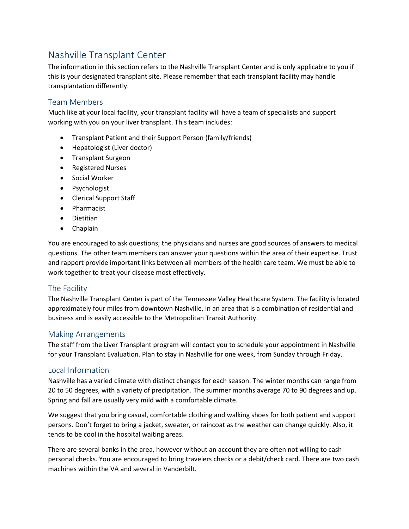# Nashville Transplant Center

The information in this section refers to the Nashville Transplant Center and is only applicable to you if this is your designated transplant site. Please remember that each transplant facility may handle transplantation differently.

#### Team Members

Much like at your local facility, your transplant facility will have a team of specialists and support working with you on your liver transplant. This team includes:

- Transplant Patient and their Support Person (family/friends)
- Hepatologist (Liver doctor)
- Transplant Surgeon
- Registered Nurses
- Social Worker
- Psychologist
- Clerical Support Staff
- Pharmacist
- Dietitian
- Chaplain

You are encouraged to ask questions; the physicians and nurses are good sources of answers to medical questions. The other team members can answer your questions within the area of their expertise. Trust and rapport provide important links between all members of the health care team. We must be able to work together to treat your disease most effectively.

#### The Facility

The Nashville Transplant Center is part of the Tennessee Valley Healthcare System. The facility is located approximately four miles from downtown Nashville, in an area that is a combination of residential and business and is easily accessible to the Metropolitan Transit Authority.

#### Making Arrangements

The staff from the Liver Transplant program will contact you to schedule your appointment in Nashville for your Transplant Evaluation. Plan to stay in Nashville for one week, from Sunday through Friday.

#### Local Information

Nashville has a varied climate with distinct changes for each season. The winter months can range from 20 to 50 degrees, with a variety of precipitation. The summer months average 70 to 90 degrees and up. Spring and fall are usually very mild with a comfortable climate.

We suggest that you bring casual, comfortable clothing and walking shoes for both patient and support persons. Don't forget to bring a jacket, sweater, or raincoat as the weather can change quickly. Also, it tends to be cool in the hospital waiting areas.

There are several banks in the area, however without an account they are often not willing to cash personal checks. You are encouraged to bring travelers checks or a debit/check card. There are two cash machines within the VA and several in Vanderbilt.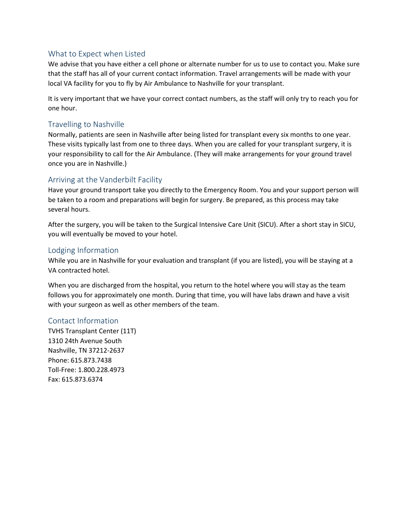#### What to Expect when Listed

We advise that you have either a cell phone or alternate number for us to use to contact you. Make sure that the staff has all of your current contact information. Travel arrangements will be made with your local VA facility for you to fly by Air Ambulance to Nashville for your transplant.

It is very important that we have your correct contact numbers, as the staff will only try to reach you for one hour.

#### Travelling to Nashville

Normally, patients are seen in Nashville after being listed for transplant every six months to one year. These visits typically last from one to three days. When you are called for your transplant surgery, it is your responsibility to call for the Air Ambulance. (They will make arrangements for your ground travel once you are in Nashville.)

#### Arriving at the Vanderbilt Facility

Have your ground transport take you directly to the Emergency Room. You and your support person will be taken to a room and preparations will begin for surgery. Be prepared, as this process may take several hours.

After the surgery, you will be taken to the Surgical Intensive Care Unit (SICU). After a short stay in SICU, you will eventually be moved to your hotel.

#### Lodging Information

While you are in Nashville for your evaluation and transplant (if you are listed), you will be staying at a VA contracted hotel.

When you are discharged from the hospital, you return to the hotel where you will stay as the team follows you for approximately one month. During that time, you will have labs drawn and have a visit with your surgeon as well as other members of the team.

#### Contact Information

TVHS Transplant Center (11T) 1310 24th Avenue South Nashville, TN 37212-2637 Phone: 615.873.7438 Toll-Free: 1.800.228.4973 Fax: 615.873.6374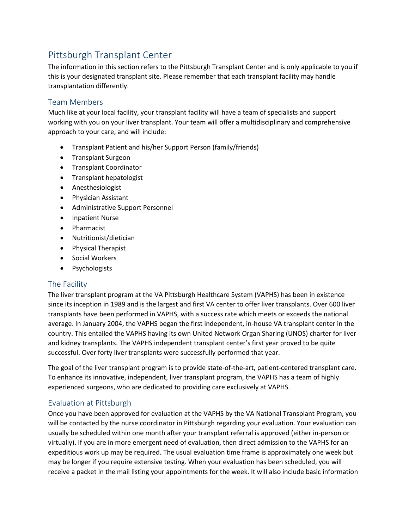# Pittsburgh Transplant Center

The information in this section refers to the Pittsburgh Transplant Center and is only applicable to you if this is your designated transplant site. Please remember that each transplant facility may handle transplantation differently.

#### Team Members

Much like at your local facility, your transplant facility will have a team of specialists and support working with you on your liver transplant. Your team will offer a multidisciplinary and comprehensive approach to your care, and will include:

- Transplant Patient and his/her Support Person (family/friends)
- Transplant Surgeon
- Transplant Coordinator
- Transplant hepatologist
- Anesthesiologist
- Physician Assistant
- Administrative Support Personnel
- Inpatient Nurse
- Pharmacist
- Nutritionist/dietician
- Physical Therapist
- Social Workers
- Psychologists

#### The Facility

The liver transplant program at the VA Pittsburgh Healthcare System (VAPHS) has been in existence since its inception in 1989 and is the largest and first VA center to offer liver transplants. Over 600 liver transplants have been performed in VAPHS, with a success rate which meets or exceeds the national average. In January 2004, the VAPHS began the first independent, in-house VA transplant center in the country. This entailed the VAPHS having its own United Network Organ Sharing (UNOS) charter for liver and kidney transplants. The VAPHS independent transplant center's first year proved to be quite successful. Over forty liver transplants were successfully performed that year.

The goal of the liver transplant program is to provide state-of-the-art, patient-centered transplant care. To enhance its innovative, independent, liver transplant program, the VAPHS has a team of highly experienced surgeons, who are dedicated to providing care exclusively at VAPHS.

#### Evaluation at Pittsburgh

Once you have been approved for evaluation at the VAPHS by the VA National Transplant Program, you will be contacted by the nurse coordinator in Pittsburgh regarding your evaluation. Your evaluation can usually be scheduled within one month after your transplant referral is approved (either in-person or virtually). If you are in more emergent need of evaluation, then direct admission to the VAPHS for an expeditious work up may be required. The usual evaluation time frame is approximately one week but may be longer if you require extensive testing. When your evaluation has been scheduled, you will receive a packet in the mail listing your appointments for the week. It will also include basic information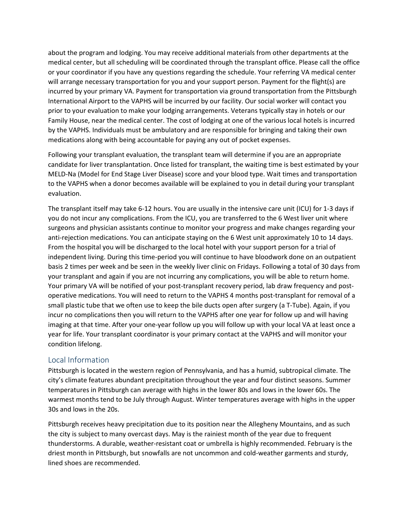about the program and lodging. You may receive additional materials from other departments at the medical center, but all scheduling will be coordinated through the transplant office. Please call the office or your coordinator if you have any questions regarding the schedule. Your referring VA medical center will arrange necessary transportation for you and your support person. Payment for the flight(s) are incurred by your primary VA. Payment for transportation via ground transportation from the Pittsburgh International Airport to the VAPHS will be incurred by our facility. Our social worker will contact you prior to your evaluation to make your lodging arrangements. Veterans typically stay in hotels or our Family House, near the medical center. The cost of lodging at one of the various local hotels is incurred by the VAPHS. Individuals must be ambulatory and are responsible for bringing and taking their own medications along with being accountable for paying any out of pocket expenses.

Following your transplant evaluation, the transplant team will determine if you are an appropriate candidate for liver transplantation. Once listed for transplant, the waiting time is best estimated by your MELD-Na (Model for End Stage Liver Disease) score and your blood type. Wait times and transportation to the VAPHS when a donor becomes available will be explained to you in detail during your transplant evaluation.

The transplant itself may take 6-12 hours. You are usually in the intensive care unit (ICU) for 1-3 days if you do not incur any complications. From the ICU, you are transferred to the 6 West liver unit where surgeons and physician assistants continue to monitor your progress and make changes regarding your anti-rejection medications. You can anticipate staying on the 6 West unit approximately 10 to 14 days. From the hospital you will be discharged to the local hotel with your support person for a trial of independent living. During this time-period you will continue to have bloodwork done on an outpatient basis 2 times per week and be seen in the weekly liver clinic on Fridays. Following a total of 30 days from your transplant and again if you are not incurring any complications, you will be able to return home. Your primary VA will be notified of your post-transplant recovery period, lab draw frequency and postoperative medications. You will need to return to the VAPHS 4 months post-transplant for removal of a small plastic tube that we often use to keep the bile ducts open after surgery (a T-Tube). Again, if you incur no complications then you will return to the VAPHS after one year for follow up and will having imaging at that time. After your one-year follow up you will follow up with your local VA at least once a year for life. Your transplant coordinator is your primary contact at the VAPHS and will monitor your condition lifelong.

#### Local Information

Pittsburgh is located in the western region of Pennsylvania, and has a humid, subtropical climate. The city's climate features abundant precipitation throughout the year and four distinct seasons. Summer temperatures in Pittsburgh can average with highs in the lower 80s and lows in the lower 60s. The warmest months tend to be July through August. Winter temperatures average with highs in the upper 30s and lows in the 20s.

Pittsburgh receives heavy precipitation due to its position near the Allegheny Mountains, and as such the city is subject to many overcast days. May is the rainiest month of the year due to frequent thunderstorms. A durable, weather-resistant coat or umbrella is highly recommended. February is the driest month in Pittsburgh, but snowfalls are not uncommon and cold-weather garments and sturdy, lined shoes are recommended.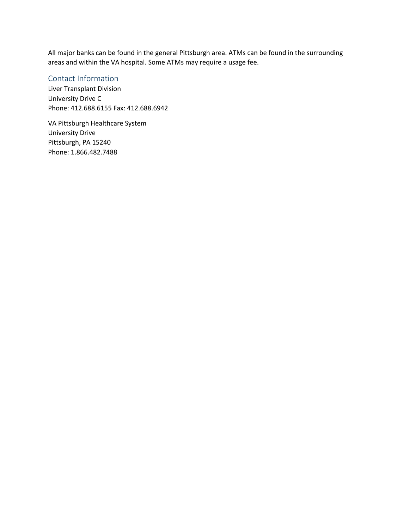All major banks can be found in the general Pittsburgh area. ATMs can be found in the surrounding areas and within the VA hospital. Some ATMs may require a usage fee.

#### Contact Information

Liver Transplant Division University Drive C Phone: 412.688.6155 Fax: 412.688.6942

VA Pittsburgh Healthcare System University Drive Pittsburgh, PA 15240 Phone: 1.866.482.7488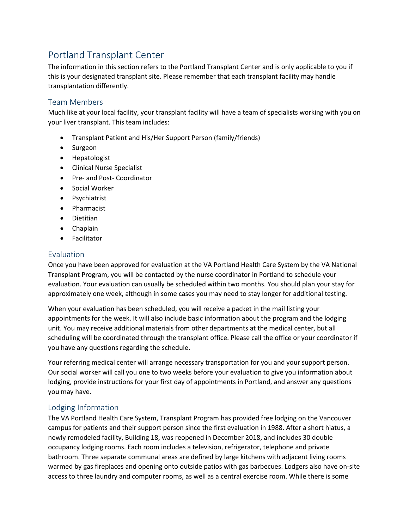# Portland Transplant Center

The information in this section refers to the Portland Transplant Center and is only applicable to you if this is your designated transplant site. Please remember that each transplant facility may handle transplantation differently.

#### Team Members

Much like at your local facility, your transplant facility will have a team of specialists working with you on your liver transplant. This team includes:

- Transplant Patient and His/Her Support Person (family/friends)
- Surgeon
- Hepatologist
- Clinical Nurse Specialist
- Pre- and Post- Coordinator
- Social Worker
- Psychiatrist
- Pharmacist
- Dietitian
- Chaplain
- Facilitator

#### Evaluation

Once you have been approved for evaluation at the VA Portland Health Care System by the VA National Transplant Program, you will be contacted by the nurse coordinator in Portland to schedule your evaluation. Your evaluation can usually be scheduled within two months. You should plan your stay for approximately one week, although in some cases you may need to stay longer for additional testing.

When your evaluation has been scheduled, you will receive a packet in the mail listing your appointments for the week. It will also include basic information about the program and the lodging unit. You may receive additional materials from other departments at the medical center, but all scheduling will be coordinated through the transplant office. Please call the office or your coordinator if you have any questions regarding the schedule.

Your referring medical center will arrange necessary transportation for you and your support person. Our social worker will call you one to two weeks before your evaluation to give you information about lodging, provide instructions for your first day of appointments in Portland, and answer any questions you may have.

#### Lodging Information

The VA Portland Health Care System, Transplant Program has provided free lodging on the Vancouver campus for patients and their support person since the first evaluation in 1988. After a short hiatus, a newly remodeled facility, Building 18, was reopened in December 2018, and includes 30 double occupancy lodging rooms. Each room includes a television, refrigerator, telephone and private bathroom. Three separate communal areas are defined by large kitchens with adjacent living rooms warmed by gas fireplaces and opening onto outside patios with gas barbecues. Lodgers also have on-site access to three laundry and computer rooms, as well as a central exercise room. While there is some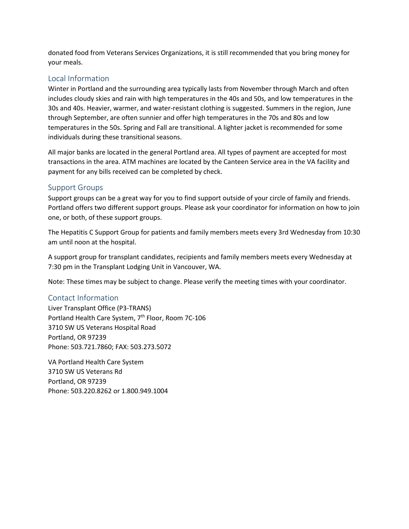donated food from Veterans Services Organizations, it is still recommended that you bring money for your meals.

#### Local Information

Winter in Portland and the surrounding area typically lasts from November through March and often includes cloudy skies and rain with high temperatures in the 40s and 50s, and low temperatures in the 30s and 40s. Heavier, warmer, and water-resistant clothing is suggested. Summers in the region, June through September, are often sunnier and offer high temperatures in the 70s and 80s and low temperatures in the 50s. Spring and Fall are transitional. A lighter jacket is recommended for some individuals during these transitional seasons.

All major banks are located in the general Portland area. All types of payment are accepted for most transactions in the area. ATM machines are located by the Canteen Service area in the VA facility and payment for any bills received can be completed by check.

#### Support Groups

Support groups can be a great way for you to find support outside of your circle of family and friends. Portland offers two different support groups. Please ask your coordinator for information on how to join one, or both, of these support groups.

The Hepatitis C Support Group for patients and family members meets every 3rd Wednesday from 10:30 am until noon at the hospital.

A support group for transplant candidates, recipients and family members meets every Wednesday at 7:30 pm in the Transplant Lodging Unit in Vancouver, WA.

Note: These times may be subject to change. Please verify the meeting times with your coordinator.

#### Contact Information

Liver Transplant Office (P3-TRANS) Portland Health Care System, 7<sup>th</sup> Floor, Room 7C-106 3710 SW US Veterans Hospital Road Portland, OR 97239 Phone: 503.721.7860; FAX: 503.273.5072

VA Portland Health Care System 3710 SW US Veterans Rd Portland, OR 97239 Phone: 503.220.8262 or 1.800.949.1004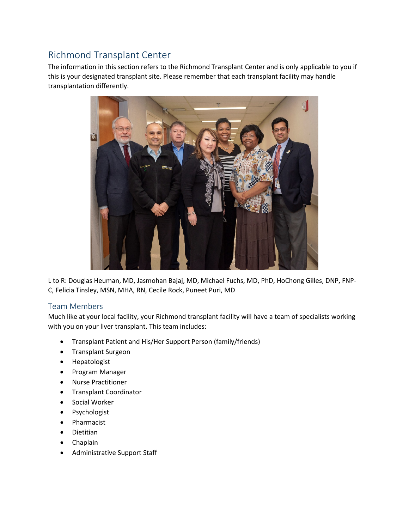# Richmond Transplant Center

The information in this section refers to the Richmond Transplant Center and is only applicable to you if this is your designated transplant site. Please remember that each transplant facility may handle transplantation differently.



L to R: Douglas Heuman, MD, Jasmohan Bajaj, MD, Michael Fuchs, MD, PhD, HoChong Gilles, DNP, FNP-C, Felicia Tinsley, MSN, MHA, RN, Cecile Rock, Puneet Puri, MD

#### Team Members

Much like at your local facility, your Richmond transplant facility will have a team of specialists working with you on your liver transplant. This team includes:

- Transplant Patient and His/Her Support Person (family/friends)
- Transplant Surgeon
- Hepatologist
- Program Manager
- Nurse Practitioner
- Transplant Coordinator
- Social Worker
- Psychologist
- Pharmacist
- Dietitian
- Chaplain
- Administrative Support Staff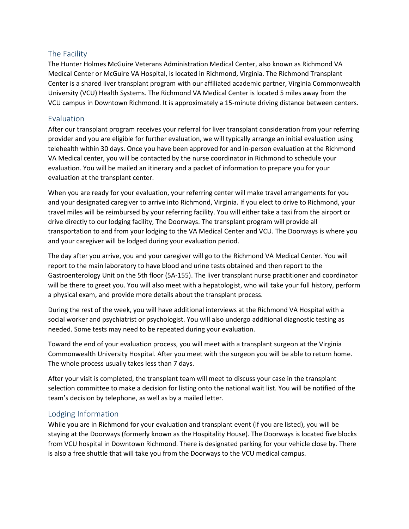#### The Facility

The Hunter Holmes McGuire Veterans Administration Medical Center, also known as Richmond VA Medical Center or McGuire VA Hospital, is located in Richmond, Virginia. The Richmond Transplant Center is a shared liver transplant program with our affiliated academic partner, Virginia Commonwealth University (VCU) Health Systems. The Richmond VA Medical Center is located 5 miles away from the VCU campus in Downtown Richmond. It is approximately a 15-minute driving distance between centers.

#### Evaluation

After our transplant program receives your referral for liver transplant consideration from your referring provider and you are eligible for further evaluation, we will typically arrange an initial evaluation using telehealth within 30 days. Once you have been approved for and in-person evaluation at the Richmond VA Medical center, you will be contacted by the nurse coordinator in Richmond to schedule your evaluation. You will be mailed an itinerary and a packet of information to prepare you for your evaluation at the transplant center.

When you are ready for your evaluation, your referring center will make travel arrangements for you and your designated caregiver to arrive into Richmond, Virginia. If you elect to drive to Richmond, your travel miles will be reimbursed by your referring facility. You will either take a taxi from the airport or drive directly to our lodging facility, The Doorways. The transplant program will provide all transportation to and from your lodging to the VA Medical Center and VCU. The Doorways is where you and your caregiver will be lodged during your evaluation period.

The day after you arrive, you and your caregiver will go to the Richmond VA Medical Center. You will report to the main laboratory to have blood and urine tests obtained and then report to the Gastroenterology Unit on the 5th floor (5A-155). The liver transplant nurse practitioner and coordinator will be there to greet you. You will also meet with a hepatologist, who will take your full history, perform a physical exam, and provide more details about the transplant process.

During the rest of the week, you will have additional interviews at the Richmond VA Hospital with a social worker and psychiatrist or psychologist. You will also undergo additional diagnostic testing as needed. Some tests may need to be repeated during your evaluation.

Toward the end of your evaluation process, you will meet with a transplant surgeon at the Virginia Commonwealth University Hospital. After you meet with the surgeon you will be able to return home. The whole process usually takes less than 7 days.

After your visit is completed, the transplant team will meet to discuss your case in the transplant selection committee to make a decision for listing onto the national wait list. You will be notified of the team's decision by telephone, as well as by a mailed letter.

#### Lodging Information

While you are in Richmond for your evaluation and transplant event (if you are listed), you will be staying at the Doorways (formerly known as the Hospitality House). The Doorways is located five blocks from VCU hospital in Downtown Richmond. There is designated parking for your vehicle close by. There is also a free shuttle that will take you from the Doorways to the VCU medical campus.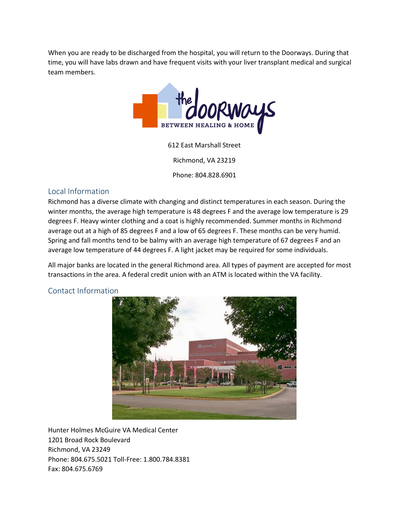When you are ready to be discharged from the hospital, you will return to the Doorways. During that time, you will have labs drawn and have frequent visits with your liver transplant medical and surgical team members.



612 East Marshall Street

Richmond, VA 23219

Phone: 804.828.6901

#### Local Information

Richmond has a diverse climate with changing and distinct temperatures in each season. During the winter months, the average high temperature is 48 degrees F and the average low temperature is 29 degrees F. Heavy winter clothing and a coat is highly recommended. Summer months in Richmond average out at a high of 85 degrees F and a low of 65 degrees F. These months can be very humid. Spring and fall months tend to be balmy with an average high temperature of 67 degrees F and an average low temperature of 44 degrees F. A light jacket may be required for some individuals.

All major banks are located in the general Richmond area. All types of payment are accepted for most transactions in the area. A federal credit union with an ATM is located within the VA facility.

#### Contact Information



Hunter Holmes McGuire VA Medical Center 1201 Broad Rock Boulevard Richmond, VA 23249 Phone: 804.675.5021 Toll-Free: 1.800.784.8381 Fax: 804.675.6769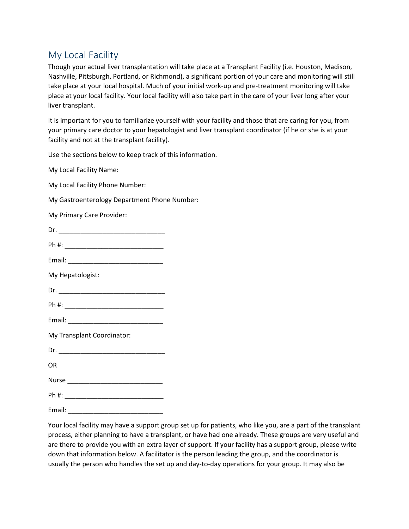## My Local Facility

Though your actual liver transplantation will take place at a Transplant Facility (i.e. Houston, Madison, Nashville, Pittsburgh, Portland, or Richmond), a significant portion of your care and monitoring will still take place at your local hospital. Much of your initial work-up and pre-treatment monitoring will take place at your local facility. Your local facility will also take part in the care of your liver long after your liver transplant.

It is important for you to familiarize yourself with your facility and those that are caring for you, from your primary care doctor to your hepatologist and liver transplant coordinator (if he or she is at your facility and not at the transplant facility).

Use the sections below to keep track of this information.

My Local Facility Name:

My Local Facility Phone Number:

My Gastroenterology Department Phone Number:

My Primary Care Provider:

| ı<br>٠ |  |  |  |  |
|--------|--|--|--|--|
|        |  |  |  |  |

Ph #: \_\_\_\_\_\_\_\_\_\_\_\_\_\_\_\_\_\_\_\_\_\_\_\_\_\_\_

Email: \_\_\_\_\_\_\_\_\_\_\_\_\_\_\_\_\_\_\_\_\_\_\_\_\_\_

My Hepatologist:

 $Dr.$ 

Ph #: \_\_\_\_\_\_\_\_\_\_\_\_\_\_\_\_\_\_\_\_\_\_\_\_\_\_\_

Email:  $\blacksquare$ 

My Transplant Coordinator:

 $Dr.$ 

OR

Nurse \_\_\_\_\_\_\_\_\_\_\_\_\_\_\_\_\_\_\_\_\_\_\_\_\_\_

Ph #: \_\_\_\_\_\_\_\_\_\_\_\_\_\_\_\_\_\_\_\_\_\_\_\_\_\_\_

Email: \_\_\_\_\_\_\_\_\_\_\_\_\_\_\_\_\_\_\_\_\_\_\_\_\_\_

Your local facility may have a support group set up for patients, who like you, are a part of the transplant process, either planning to have a transplant, or have had one already. These groups are very useful and are there to provide you with an extra layer of support. If your facility has a support group, please write down that information below. A facilitator is the person leading the group, and the coordinator is usually the person who handles the set up and day-to-day operations for your group. It may also be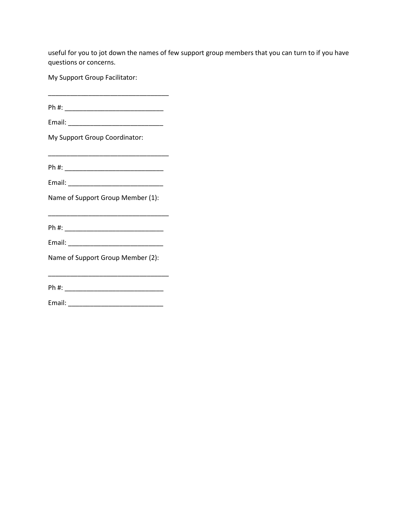useful for you to jot down the names of few support group members that you can turn to if you have questions or concerns.

My Support Group Facilitator:

Ph #: \_\_\_\_\_\_\_\_\_\_\_\_\_\_\_\_\_\_\_\_\_\_\_\_\_\_\_

 $\frac{1}{2}$  ,  $\frac{1}{2}$  ,  $\frac{1}{2}$  ,  $\frac{1}{2}$  ,  $\frac{1}{2}$  ,  $\frac{1}{2}$  ,  $\frac{1}{2}$  ,  $\frac{1}{2}$  ,  $\frac{1}{2}$  ,  $\frac{1}{2}$  ,  $\frac{1}{2}$  ,  $\frac{1}{2}$  ,  $\frac{1}{2}$  ,  $\frac{1}{2}$  ,  $\frac{1}{2}$  ,  $\frac{1}{2}$  ,  $\frac{1}{2}$  ,  $\frac{1}{2}$  ,  $\frac{1$ 

Email: \_\_\_\_\_\_\_\_\_\_\_\_\_\_\_\_\_\_\_\_\_\_\_\_\_\_

My Support Group Coordinator:

Ph #: \_\_\_\_\_\_\_\_\_\_\_\_\_\_\_\_\_\_\_\_\_\_\_\_\_\_\_

Email: \_\_\_\_\_\_\_\_\_\_\_\_\_\_\_\_\_\_\_\_\_\_\_\_\_\_

Name of Support Group Member (1):

Ph #: \_\_\_\_\_\_\_\_\_\_\_\_\_\_\_\_\_\_\_\_\_\_\_\_\_\_\_

\_\_\_\_\_\_\_\_\_\_\_\_\_\_\_\_\_\_\_\_\_\_\_\_\_\_\_\_\_\_\_\_\_

Email: \_\_\_\_\_\_\_\_\_\_\_\_\_\_\_\_\_\_\_\_\_\_\_\_\_\_

Name of Support Group Member (2):

\_\_\_\_\_\_\_\_\_\_\_\_\_\_\_\_\_\_\_\_\_\_\_\_\_\_\_\_\_\_\_\_\_ Ph #: \_\_\_\_\_\_\_\_\_\_\_\_\_\_\_\_\_\_\_\_\_\_\_\_\_\_\_

Email: \_\_\_\_\_\_\_\_\_\_\_\_\_\_\_\_\_\_\_\_\_\_\_\_\_\_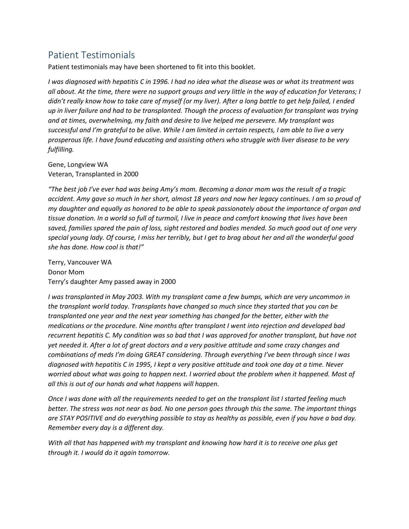## Patient Testimonials

Patient testimonials may have been shortened to fit into this booklet.

*I was diagnosed with hepatitis C in 1996. I had no idea what the disease was or what its treatment was all about. At the time, there were no support groups and very little in the way of education for Veterans; I didn't really know how to take care of myself (or my liver). After a long battle to get help failed, I ended up in liver failure and had to be transplanted. Though the process of evaluation for transplant was trying and at times, overwhelming, my faith and desire to live helped me persevere. My transplant was successful and I'm grateful to be alive. While I am limited in certain respects, I am able to live a very prosperous life. I have found educating and assisting others who struggle with liver disease to be very fulfilling.*

Gene, Longview WA Veteran, Transplanted in 2000

*"The best job I've ever had was being Amy's mom. Becoming a donor mom was the result of a tragic accident. Amy gave so much in her short, almost 18 years and now her legacy continues. I am so proud of my daughter and equally as honored to be able to speak passionately about the importance of organ and tissue donation. In a world so full of turmoil, I live in peace and comfort knowing that lives have been saved, families spared the pain of loss, sight restored and bodies mended. So much good out of one very special young lady. Of course, I miss her terribly, but I get to brag about her and all the wonderful good she has done. How cool is that!"* 

Terry, Vancouver WA Donor Mom Terry's daughter Amy passed away in 2000

*I was transplanted in May 2003. With my transplant came a few bumps, which are very uncommon in the transplant world today. Transplants have changed so much since they started that you can be transplanted one year and the next year something has changed for the better, either with the medications or the procedure. Nine months after transplant I went into rejection and developed bad recurrent hepatitis C. My condition was so bad that I was approved for another transplant, but have not yet needed it. After a lot of great doctors and a very positive attitude and some crazy changes and combinations of meds I'm doing GREAT considering. Through everything I've been through since I was diagnosed with hepatitis C in 1995, I kept a very positive attitude and took one day at a time. Never worried about what was going to happen next. I worried about the problem when it happened. Most of all this is out of our hands and what happens will happen.*

*Once I was done with all the requirements needed to get on the transplant list I started feeling much better. The stress was not near as bad. No one person goes through this the same. The important things are STAY POSITIVE and do everything possible to stay as healthy as possible, even if you have a bad day. Remember every day is a different day.*

*With all that has happened with my transplant and knowing how hard it is to receive one plus get through it. I would do it again tomorrow.*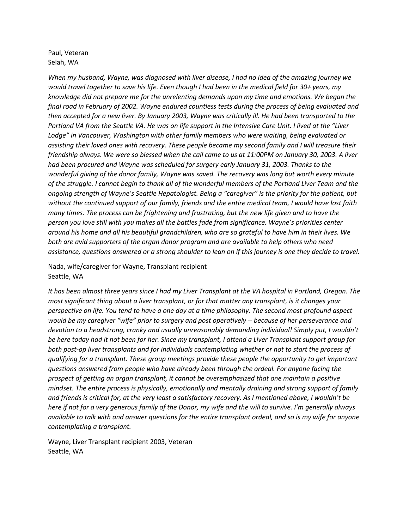#### Paul, Veteran Selah, WA

*When my husband, Wayne, was diagnosed with liver disease, I had no idea of the amazing journey we would travel together to save his life. Even though I had been in the medical field for 30+ years, my knowledge did not prepare me for the unrelenting demands upon my time and emotions. We began the final road in February of 2002. Wayne endured countless tests during the process of being evaluated and then accepted for a new liver. By January 2003, Wayne was critically ill. He had been transported to the Portland VA from the Seattle VA. He was on life support in the Intensive Care Unit. I lived at the "Liver Lodge" in Vancouver, Washington with other family members who were waiting, being evaluated or assisting their loved ones with recovery. These people became my second family and I will treasure their friendship always. We were so blessed when the call came to us at 11:00PM on January 30, 2003. A liver had been procured and Wayne was scheduled for surgery early January 31, 2003. Thanks to the wonderful giving of the donor family, Wayne was saved. The recovery was long but worth every minute of the struggle. I cannot begin to thank all of the wonderful members of the Portland Liver Team and the ongoing strength of Wayne's Seattle Hepatologist. Being a "caregiver" is the priority for the patient, but without the continued support of our family, friends and the entire medical team, I would have lost faith many times. The process can be frightening and frustrating, but the new life given and to have the person you love still with you makes all the battles fade from significance. Wayne's priorities center around his home and all his beautiful grandchildren, who are so grateful to have him in their lives. We both are avid supporters of the organ donor program and are available to help others who need assistance, questions answered or a strong shoulder to lean on if this journey is one they decide to travel.*

Nada, wife/caregiver for Wayne, Transplant recipient Seattle, WA

*It has been almost three years since I had my Liver Transplant at the VA hospital in Portland, Oregon. The most significant thing about a liver transplant, or for that matter any transplant, is it changes your perspective on life. You tend to have a one day at a time philosophy. The second most profound aspect would be my caregiver "wife" prior to surgery and post operatively -- because of her perseverance and devotion to a headstrong, cranky and usually unreasonably demanding individual! Simply put, I wouldn't be here today had it not been for her. Since my transplant, I attend a Liver Transplant support group for both post-op liver transplants and for individuals contemplating whether or not to start the process of qualifying for a transplant. These group meetings provide these people the opportunity to get important questions answered from people who have already been through the ordeal. For anyone facing the prospect of getting an organ transplant, it cannot be overemphasized that one maintain a positive mindset. The entire process is physically, emotionally and mentally draining and strong support of family and friends is critical for, at the very least a satisfactory recovery. As I mentioned above, I wouldn't be here if not for a very generous family of the Donor, my wife and the will to survive. I'm generally always available to talk with and answer questions for the entire transplant ordeal, and so is my wife for anyone contemplating a transplant.*

Wayne, Liver Transplant recipient 2003, Veteran Seattle, WA